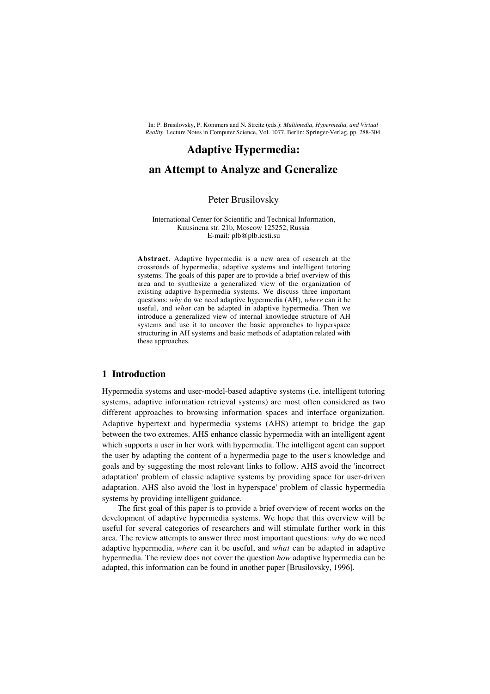In: P. Brusilovsky, P. Kommers and N. Streitz (eds.): *Multimedia, Hypermedia, and Virtual Reality*. Lecture Notes in Computer Science, Vol. 1077, Berlin: Springer-Verlag, pp. 288-304.

# **Adaptive Hypermedia:**

# **an Attempt to Analyze and Generalize**

## Peter Brusilovsky

International Center for Scientific and Technical Information, Kuusinena str. 21b, Moscow 125252, Russia E-mail: plb@plb.icsti.su

**Abstract**. Adaptive hypermedia is a new area of research at the crossroads of hypermedia, adaptive systems and intelligent tutoring systems. The goals of this paper are to provide a brief overview of this area and to synthesize a generalized view of the organization of existing adaptive hypermedia systems. We discuss three important questions: *why* do we need adaptive hypermedia (AH), *where* can it be useful, and *what* can be adapted in adaptive hypermedia. Then we introduce a generalized view of internal knowledge structure of AH systems and use it to uncover the basic approaches to hyperspace structuring in AH systems and basic methods of adaptation related with these approaches.

# **1 Introduction**

Hypermedia systems and user-model-based adaptive systems (i.e. intelligent tutoring systems, adaptive information retrieval systems) are most often considered as two different approaches to browsing information spaces and interface organization. Adaptive hypertext and hypermedia systems (AHS) attempt to bridge the gap between the two extremes. AHS enhance classic hypermedia with an intelligent agent which supports a user in her work with hypermedia. The intelligent agent can support the user by adapting the content of a hypermedia page to the user's knowledge and goals and by suggesting the most relevant links to follow. AHS avoid the 'incorrect adaptation' problem of classic adaptive systems by providing space for user-driven adaptation. AHS also avoid the 'lost in hyperspace' problem of classic hypermedia systems by providing intelligent guidance.

The first goal of this paper is to provide a brief overview of recent works on the development of adaptive hypermedia systems. We hope that this overview will be useful for several categories of researchers and will stimulate further work in this area. The review attempts to answer three most important questions: *why* do we need adaptive hypermedia, *where* can it be useful, and *what* can be adapted in adaptive hypermedia. The review does not cover the question *how* adaptive hypermedia can be adapted, this information can be found in another paper [Brusilovsky, 1996].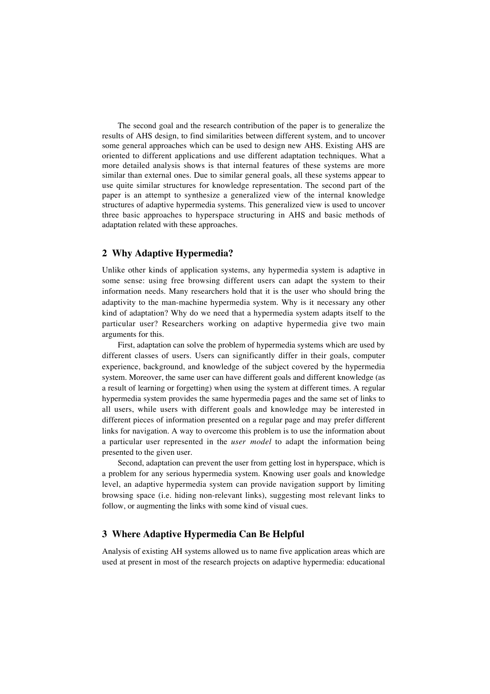The second goal and the research contribution of the paper is to generalize the results of AHS design, to find similarities between different system, and to uncover some general approaches which can be used to design new AHS. Existing AHS are oriented to different applications and use different adaptation techniques. What a more detailed analysis shows is that internal features of these systems are more similar than external ones. Due to similar general goals, all these systems appear to use quite similar structures for knowledge representation. The second part of the paper is an attempt to synthesize a generalized view of the internal knowledge structures of adaptive hypermedia systems. This generalized view is used to uncover three basic approaches to hyperspace structuring in AHS and basic methods of adaptation related with these approaches.

### **2 Why Adaptive Hypermedia?**

Unlike other kinds of application systems, any hypermedia system is adaptive in some sense: using free browsing different users can adapt the system to their information needs. Many researchers hold that it is the user who should bring the adaptivity to the man-machine hypermedia system. Why is it necessary any other kind of adaptation? Why do we need that a hypermedia system adapts itself to the particular user? Researchers working on adaptive hypermedia give two main arguments for this.

First, adaptation can solve the problem of hypermedia systems which are used by different classes of users. Users can significantly differ in their goals, computer experience, background, and knowledge of the subject covered by the hypermedia system. Moreover, the same user can have different goals and different knowledge (as a result of learning or forgetting) when using the system at different times. A regular hypermedia system provides the same hypermedia pages and the same set of links to all users, while users with different goals and knowledge may be interested in different pieces of information presented on a regular page and may prefer different links for navigation. A way to overcome this problem is to use the information about a particular user represented in the *user model* to adapt the information being presented to the given user.

Second, adaptation can prevent the user from getting lost in hyperspace, which is a problem for any serious hypermedia system. Knowing user goals and knowledge level, an adaptive hypermedia system can provide navigation support by limiting browsing space (i.e. hiding non-relevant links), suggesting most relevant links to follow, or augmenting the links with some kind of visual cues.

# **3 Where Adaptive Hypermedia Can Be Helpful**

Analysis of existing AH systems allowed us to name five application areas which are used at present in most of the research projects on adaptive hypermedia: educational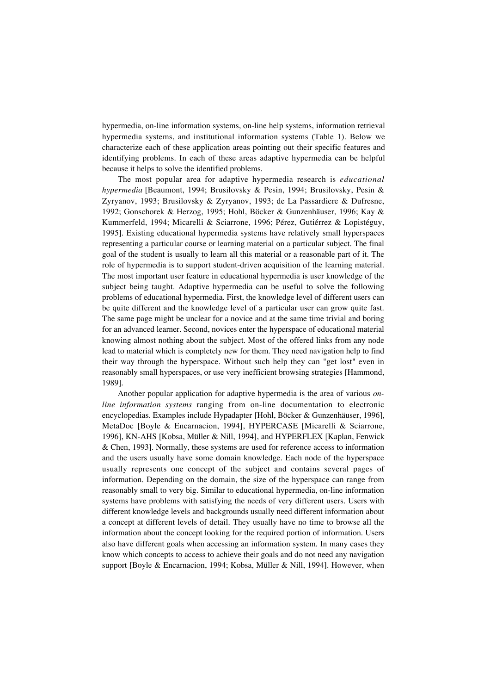hypermedia, on-line information systems, on-line help systems, information retrieval hypermedia systems, and institutional information systems (Table 1). Below we characterize each of these application areas pointing out their specific features and identifying problems. In each of these areas adaptive hypermedia can be helpful because it helps to solve the identified problems.

The most popular area for adaptive hypermedia research is *educational hypermedia* [Beaumont, 1994; Brusilovsky & Pesin, 1994; Brusilovsky, Pesin & Zyryanov, 1993; Brusilovsky & Zyryanov, 1993; de La Passardiere & Dufresne, 1992; Gonschorek & Herzog, 1995; Hohl, Böcker & Gunzenhäuser, 1996; Kay & Kummerfeld, 1994; Micarelli & Sciarrone, 1996; Pérez, Gutiérrez & Lopistéguy, 1995]. Existing educational hypermedia systems have relatively small hyperspaces representing a particular course or learning material on a particular subject. The final goal of the student is usually to learn all this material or a reasonable part of it. The role of hypermedia is to support student-driven acquisition of the learning material. The most important user feature in educational hypermedia is user knowledge of the subject being taught. Adaptive hypermedia can be useful to solve the following problems of educational hypermedia. First, the knowledge level of different users can be quite different and the knowledge level of a particular user can grow quite fast. The same page might be unclear for a novice and at the same time trivial and boring for an advanced learner. Second, novices enter the hyperspace of educational material knowing almost nothing about the subject. Most of the offered links from any node lead to material which is completely new for them. They need navigation help to find their way through the hyperspace. Without such help they can "get lost" even in reasonably small hyperspaces, or use very inefficient browsing strategies [Hammond, 1989].

Another popular application for adaptive hypermedia is the area of various *online information systems* ranging from on-line documentation to electronic encyclopedias. Examples include Hypadapter [Hohl, Böcker & Gunzenhäuser, 1996], MetaDoc [Boyle & Encarnacion, 1994], HYPERCASE [Micarelli & Sciarrone, 1996], KN-AHS [Kobsa, Müller & Nill, 1994], and HYPERFLEX [Kaplan, Fenwick & Chen, 1993]. Normally, these systems are used for reference access to information and the users usually have some domain knowledge. Each node of the hyperspace usually represents one concept of the subject and contains several pages of information. Depending on the domain, the size of the hyperspace can range from reasonably small to very big. Similar to educational hypermedia, on-line information systems have problems with satisfying the needs of very different users. Users with different knowledge levels and backgrounds usually need different information about a concept at different levels of detail. They usually have no time to browse all the information about the concept looking for the required portion of information. Users also have different goals when accessing an information system. In many cases they know which concepts to access to achieve their goals and do not need any navigation support [Boyle & Encarnacion, 1994; Kobsa, Müller & Nill, 1994]. However, when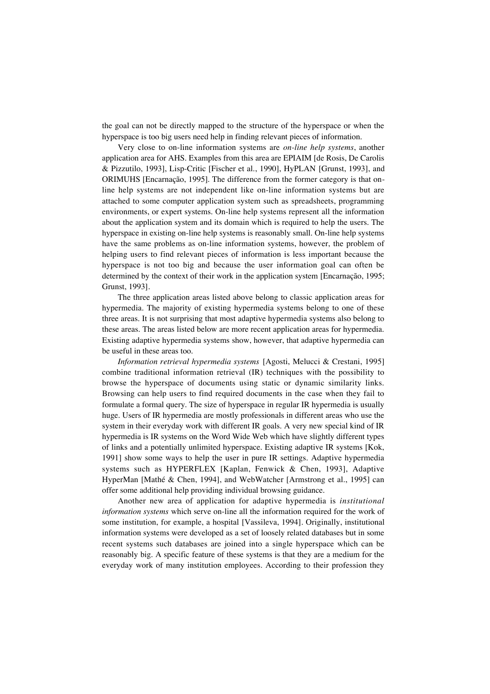the goal can not be directly mapped to the structure of the hyperspace or when the hyperspace is too big users need help in finding relevant pieces of information.

Very close to on-line information systems are *on-line help systems*, another application area for AHS. Examples from this area are EPIAIM [de Rosis, De Carolis & Pizzutilo, 1993], Lisp-Critic [Fischer et al., 1990], HyPLAN [Grunst, 1993], and ORIMUHS [Encarnação, 1995]. The difference from the former category is that online help systems are not independent like on-line information systems but are attached to some computer application system such as spreadsheets, programming environments, or expert systems. On-line help systems represent all the information about the application system and its domain which is required to help the users. The hyperspace in existing on-line help systems is reasonably small. On-line help systems have the same problems as on-line information systems, however, the problem of helping users to find relevant pieces of information is less important because the hyperspace is not too big and because the user information goal can often be determined by the context of their work in the application system [Encarnação, 1995; Grunst, 1993].

The three application areas listed above belong to classic application areas for hypermedia. The majority of existing hypermedia systems belong to one of these three areas. It is not surprising that most adaptive hypermedia systems also belong to these areas. The areas listed below are more recent application areas for hypermedia. Existing adaptive hypermedia systems show, however, that adaptive hypermedia can be useful in these areas too.

*Information retrieval hypermedia systems* [Agosti, Melucci & Crestani, 1995] combine traditional information retrieval (IR) techniques with the possibility to browse the hyperspace of documents using static or dynamic similarity links. Browsing can help users to find required documents in the case when they fail to formulate a formal query. The size of hyperspace in regular IR hypermedia is usually huge. Users of IR hypermedia are mostly professionals in different areas who use the system in their everyday work with different IR goals. A very new special kind of IR hypermedia is IR systems on the Word Wide Web which have slightly different types of links and a potentially unlimited hyperspace. Existing adaptive IR systems [Kok, 1991] show some ways to help the user in pure IR settings. Adaptive hypermedia systems such as HYPERFLEX [Kaplan, Fenwick & Chen, 1993], Adaptive HyperMan [Mathé & Chen, 1994], and WebWatcher [Armstrong et al., 1995] can offer some additional help providing individual browsing guidance.

Another new area of application for adaptive hypermedia is *institutional information systems* which serve on-line all the information required for the work of some institution, for example, a hospital [Vassileva, 1994]. Originally, institutional information systems were developed as a set of loosely related databases but in some recent systems such databases are joined into a single hyperspace which can be reasonably big. A specific feature of these systems is that they are a medium for the everyday work of many institution employees. According to their profession they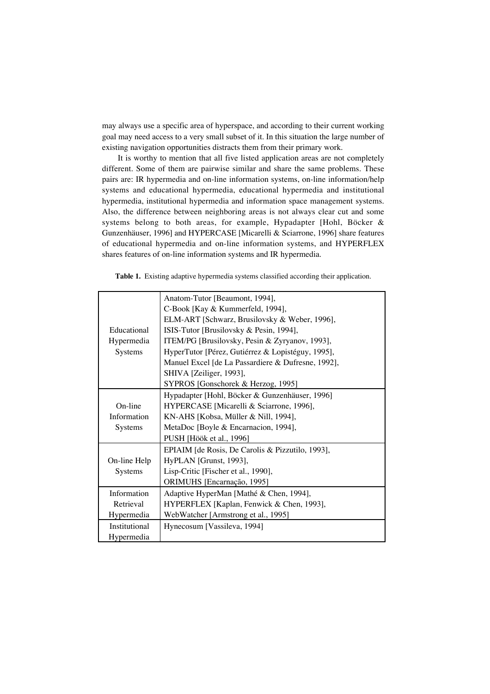may always use a specific area of hyperspace, and according to their current working goal may need access to a very small subset of it. In this situation the large number of existing navigation opportunities distracts them from their primary work.

It is worthy to mention that all five listed application areas are not completely different. Some of them are pairwise similar and share the same problems. These pairs are: IR hypermedia and on-line information systems, on-line information/help systems and educational hypermedia, educational hypermedia and institutional hypermedia, institutional hypermedia and information space management systems. Also, the difference between neighboring areas is not always clear cut and some systems belong to both areas, for example, Hypadapter [Hohl, Böcker  $\&$ Gunzenhäuser, 1996] and HYPERCASE [Micarelli & Sciarrone, 1996] share features of educational hypermedia and on-line information systems, and HYPERFLEX shares features of on-line information systems and IR hypermedia.

**Table 1.** Existing adaptive hypermedia systems classified according their application.

| Anatom-Tutor [Beaumont, 1994],                     |
|----------------------------------------------------|
| C-Book [Kay & Kummerfeld, 1994],                   |
| ELM-ART [Schwarz, Brusilovsky & Weber, 1996],      |
| ISIS-Tutor [Brusilovsky & Pesin, 1994],            |
| ITEM/PG [Brusilovsky, Pesin & Zyryanov, 1993],     |
| HyperTutor [Pérez, Gutiérrez & Lopistéguy, 1995],  |
| Manuel Excel [de La Passardiere & Dufresne, 1992], |
| SHIVA [Zeiliger, 1993],                            |
| SYPROS [Gonschorek & Herzog, 1995]                 |
| Hypadapter [Hohl, Böcker & Gunzenhäuser, 1996]     |
| HYPERCASE [Micarelli & Sciarrone, 1996],           |
| KN-AHS [Kobsa, Müller & Nill, 1994],               |
| MetaDoc [Boyle & Encarnacion, 1994],               |
| PUSH [Höök et al., 1996]                           |
| EPIAIM [de Rosis, De Carolis & Pizzutilo, 1993],   |
| HyPLAN [Grunst, 1993],                             |
| Lisp-Critic [Fischer et al., 1990],                |
| ORIMUHS [Encarnação, 1995]                         |
| Adaptive HyperMan [Mathé & Chen, 1994],            |
| HYPERFLEX [Kaplan, Fenwick & Chen, 1993],          |
| WebWatcher [Armstrong et al., 1995]                |
| Hynecosum [Vassileva, 1994]                        |
|                                                    |
|                                                    |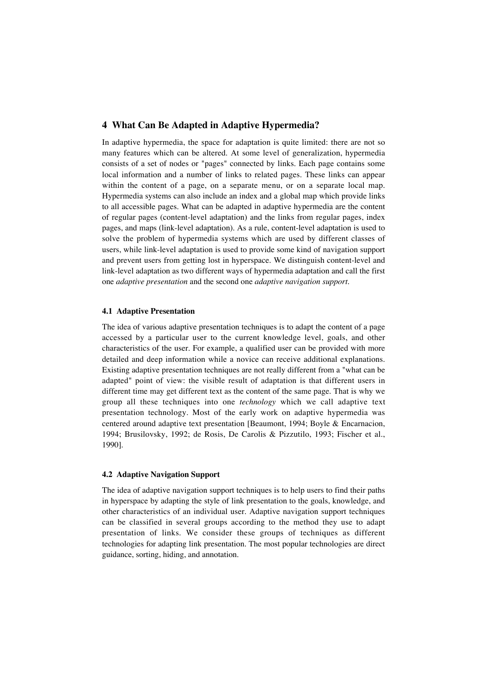### **4 What Can Be Adapted in Adaptive Hypermedia?**

In adaptive hypermedia, the space for adaptation is quite limited: there are not so many features which can be altered. At some level of generalization, hypermedia consists of a set of nodes or "pages" connected by links. Each page contains some local information and a number of links to related pages. These links can appear within the content of a page, on a separate menu, or on a separate local map. Hypermedia systems can also include an index and a global map which provide links to all accessible pages. What can be adapted in adaptive hypermedia are the content of regular pages (content-level adaptation) and the links from regular pages, index pages, and maps (link-level adaptation). As a rule, content-level adaptation is used to solve the problem of hypermedia systems which are used by different classes of users, while link-level adaptation is used to provide some kind of navigation support and prevent users from getting lost in hyperspace. We distinguish content-level and link-level adaptation as two different ways of hypermedia adaptation and call the first one *adaptive presentation* and the second one *adaptive navigation support*.

### **4.1 Adaptive Presentation**

The idea of various adaptive presentation techniques is to adapt the content of a page accessed by a particular user to the current knowledge level, goals, and other characteristics of the user. For example, a qualified user can be provided with more detailed and deep information while a novice can receive additional explanations. Existing adaptive presentation techniques are not really different from a "what can be adapted" point of view: the visible result of adaptation is that different users in different time may get different text as the content of the same page. That is why we group all these techniques into one *technology* which we call adaptive text presentation technology. Most of the early work on adaptive hypermedia was centered around adaptive text presentation [Beaumont, 1994; Boyle & Encarnacion, 1994; Brusilovsky, 1992; de Rosis, De Carolis & Pizzutilo, 1993; Fischer et al., 1990].

### **4.2 Adaptive Navigation Support**

The idea of adaptive navigation support techniques is to help users to find their paths in hyperspace by adapting the style of link presentation to the goals, knowledge, and other characteristics of an individual user. Adaptive navigation support techniques can be classified in several groups according to the method they use to adapt presentation of links. We consider these groups of techniques as different technologies for adapting link presentation. The most popular technologies are direct guidance, sorting, hiding, and annotation.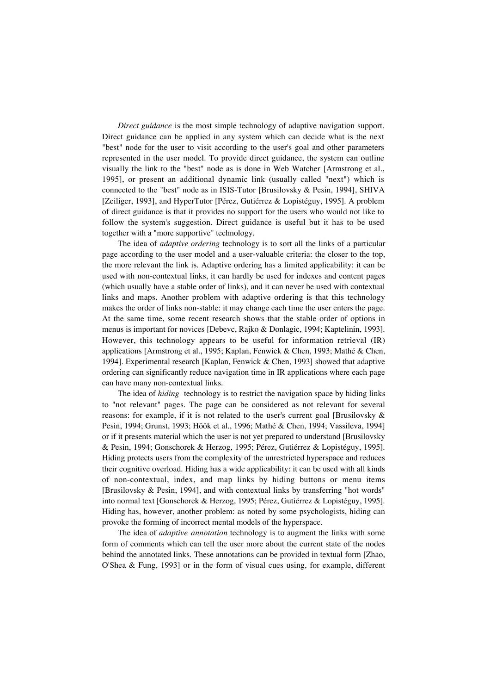*Direct guidance* is the most simple technology of adaptive navigation support. Direct guidance can be applied in any system which can decide what is the next "best" node for the user to visit according to the user's goal and other parameters represented in the user model. To provide direct guidance, the system can outline visually the link to the "best" node as is done in Web Watcher [Armstrong et al., 1995], or present an additional dynamic link (usually called "next") which is connected to the "best" node as in ISIS-Tutor [Brusilovsky & Pesin, 1994], SHIVA [Zeiliger, 1993], and HyperTutor [Pérez, Gutiérrez & Lopistéguy, 1995]. A problem of direct guidance is that it provides no support for the users who would not like to follow the system's suggestion. Direct guidance is useful but it has to be used together with a "more supportive" technology.

The idea of *adaptive ordering* technology is to sort all the links of a particular page according to the user model and a user-valuable criteria: the closer to the top, the more relevant the link is. Adaptive ordering has a limited applicability: it can be used with non-contextual links, it can hardly be used for indexes and content pages (which usually have a stable order of links), and it can never be used with contextual links and maps. Another problem with adaptive ordering is that this technology makes the order of links non-stable: it may change each time the user enters the page. At the same time, some recent research shows that the stable order of options in menus is important for novices [Debevc, Rajko & Donlagic, 1994; Kaptelinin, 1993]. However, this technology appears to be useful for information retrieval (IR) applications [Armstrong et al., 1995; Kaplan, Fenwick & Chen, 1993; Mathé & Chen, 1994]. Experimental research [Kaplan, Fenwick & Chen, 1993] showed that adaptive ordering can significantly reduce navigation time in IR applications where each page can have many non-contextual links.

The idea of *hiding* technology is to restrict the navigation space by hiding links to "not relevant" pages. The page can be considered as not relevant for several reasons: for example, if it is not related to the user's current goal [Brusilovsky & Pesin, 1994; Grunst, 1993; Höök et al., 1996; Mathé & Chen, 1994; Vassileva, 1994] or if it presents material which the user is not yet prepared to understand [Brusilovsky & Pesin, 1994; Gonschorek & Herzog, 1995; Pérez, Gutiérrez & Lopistéguy, 1995]. Hiding protects users from the complexity of the unrestricted hyperspace and reduces their cognitive overload. Hiding has a wide applicability: it can be used with all kinds of non-contextual, index, and map links by hiding buttons or menu items [Brusilovsky & Pesin, 1994], and with contextual links by transferring "hot words" into normal text [Gonschorek & Herzog, 1995; Pérez, Gutiérrez & Lopistéguy, 1995]. Hiding has, however, another problem: as noted by some psychologists, hiding can provoke the forming of incorrect mental models of the hyperspace.

The idea of *adaptive annotation* technology is to augment the links with some form of comments which can tell the user more about the current state of the nodes behind the annotated links. These annotations can be provided in textual form [Zhao, O'Shea & Fung, 1993] or in the form of visual cues using, for example, different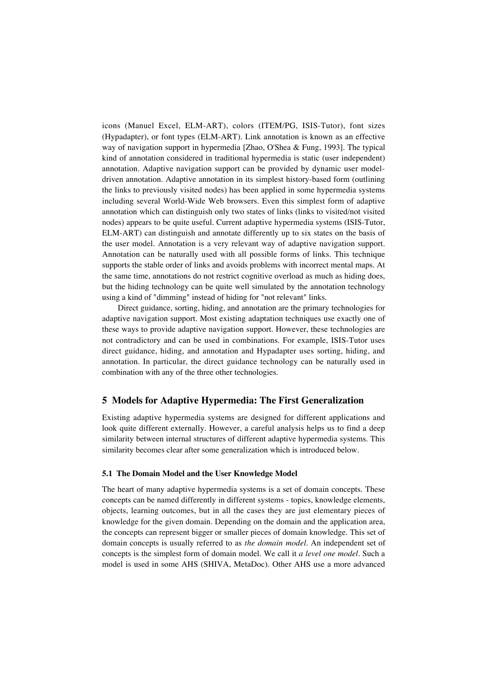icons (Manuel Excel, ELM-ART), colors (ITEM/PG, ISIS-Tutor), font sizes (Hypadapter), or font types (ELM-ART). Link annotation is known as an effective way of navigation support in hypermedia [Zhao, O'Shea & Fung, 1993]. The typical kind of annotation considered in traditional hypermedia is static (user independent) annotation. Adaptive navigation support can be provided by dynamic user modeldriven annotation. Adaptive annotation in its simplest history-based form (outlining the links to previously visited nodes) has been applied in some hypermedia systems including several World-Wide Web browsers. Even this simplest form of adaptive annotation which can distinguish only two states of links (links to visited/not visited nodes) appears to be quite useful. Current adaptive hypermedia systems (ISIS-Tutor, ELM-ART) can distinguish and annotate differently up to six states on the basis of the user model. Annotation is a very relevant way of adaptive navigation support. Annotation can be naturally used with all possible forms of links. This technique supports the stable order of links and avoids problems with incorrect mental maps. At the same time, annotations do not restrict cognitive overload as much as hiding does, but the hiding technology can be quite well simulated by the annotation technology using a kind of "dimming" instead of hiding for "not relevant" links.

Direct guidance, sorting, hiding, and annotation are the primary technologies for adaptive navigation support. Most existing adaptation techniques use exactly one of these ways to provide adaptive navigation support. However, these technologies are not contradictory and can be used in combinations. For example, ISIS-Tutor uses direct guidance, hiding, and annotation and Hypadapter uses sorting, hiding, and annotation. In particular, the direct guidance technology can be naturally used in combination with any of the three other technologies.

### **5 Models for Adaptive Hypermedia: The First Generalization**

Existing adaptive hypermedia systems are designed for different applications and look quite different externally. However, a careful analysis helps us to find a deep similarity between internal structures of different adaptive hypermedia systems. This similarity becomes clear after some generalization which is introduced below.

#### **5.1 The Domain Model and the User Knowledge Model**

The heart of many adaptive hypermedia systems is a set of domain concepts. These concepts can be named differently in different systems - topics, knowledge elements, objects, learning outcomes, but in all the cases they are just elementary pieces of knowledge for the given domain. Depending on the domain and the application area, the concepts can represent bigger or smaller pieces of domain knowledge. This set of domain concepts is usually referred to as *the domain model.* An independent set of concepts is the simplest form of domain model. We call it *a level one model.* Such a model is used in some AHS (SHIVA, MetaDoc). Other AHS use a more advanced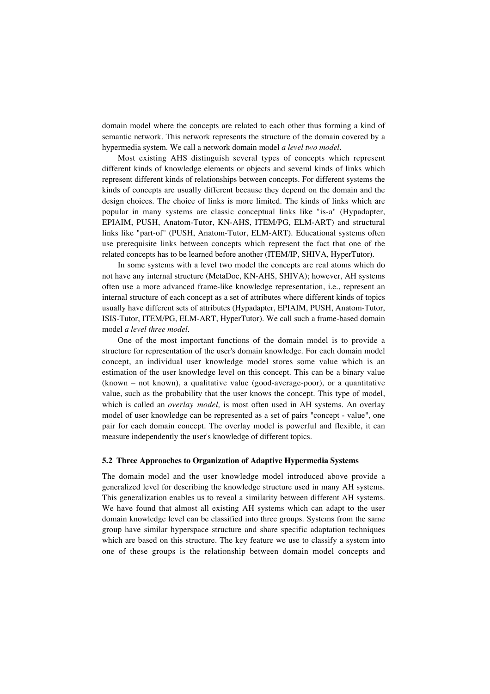domain model where the concepts are related to each other thus forming a kind of semantic network. This network represents the structure of the domain covered by a hypermedia system. We call a network domain model *a level two model.*

Most existing AHS distinguish several types of concepts which represent different kinds of knowledge elements or objects and several kinds of links which represent different kinds of relationships between concepts. For different systems the kinds of concepts are usually different because they depend on the domain and the design choices. The choice of links is more limited. The kinds of links which are popular in many systems are classic conceptual links like "is-a" (Hypadapter, EPIAIM, PUSH, Anatom-Tutor, KN-AHS, ITEM/PG, ELM-ART) and structural links like "part-of" (PUSH, Anatom-Tutor, ELM-ART). Educational systems often use prerequisite links between concepts which represent the fact that one of the related concepts has to be learned before another (ITEM/IP, SHIVA, HyperTutor).

In some systems with a level two model the concepts are real atoms which do not have any internal structure (MetaDoc, KN-AHS, SHIVA); however, AH systems often use a more advanced frame-like knowledge representation, i.e., represent an internal structure of each concept as a set of attributes where different kinds of topics usually have different sets of attributes (Hypadapter, EPIAIM, PUSH, Anatom-Tutor, ISIS-Tutor, ITEM/PG, ELM-ART, HyperTutor). We call such a frame-based domain model *a level three model.*

One of the most important functions of the domain model is to provide a structure for representation of the user's domain knowledge. For each domain model concept, an individual user knowledge model stores some value which is an estimation of the user knowledge level on this concept. This can be a binary value  $(known - not known)$ , a qualitative value (good-average-poor), or a quantitative value, such as the probability that the user knows the concept. This type of model, which is called an *overlay model,* is most often used in AH systems. An overlay model of user knowledge can be represented as a set of pairs "concept - value", one pair for each domain concept. The overlay model is powerful and flexible, it can measure independently the user's knowledge of different topics.

#### **5.2 Three Approaches to Organization of Adaptive Hypermedia Systems**

The domain model and the user knowledge model introduced above provide a generalized level for describing the knowledge structure used in many AH systems. This generalization enables us to reveal a similarity between different AH systems. We have found that almost all existing AH systems which can adapt to the user domain knowledge level can be classified into three groups. Systems from the same group have similar hyperspace structure and share specific adaptation techniques which are based on this structure. The key feature we use to classify a system into one of these groups is the relationship between domain model concepts and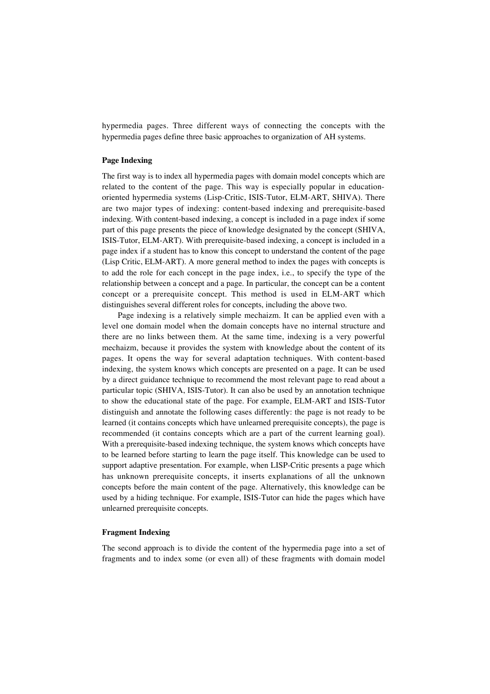hypermedia pages. Three different ways of connecting the concepts with the hypermedia pages define three basic approaches to organization of AH systems.

### **Page Indexing**

The first way is to index all hypermedia pages with domain model concepts which are related to the content of the page. This way is especially popular in educationoriented hypermedia systems (Lisp-Critic, ISIS-Tutor, ELM-ART, SHIVA). There are two major types of indexing: content-based indexing and prerequisite-based indexing. With content-based indexing, a concept is included in a page index if some part of this page presents the piece of knowledge designated by the concept (SHIVA, ISIS-Tutor, ELM-ART). With prerequisite-based indexing, a concept is included in a page index if a student has to know this concept to understand the content of the page (Lisp Critic, ELM-ART). A more general method to index the pages with concepts is to add the role for each concept in the page index, i.e., to specify the type of the relationship between a concept and a page. In particular, the concept can be a content concept or a prerequisite concept. This method is used in ELM-ART which distinguishes several different roles for concepts, including the above two.

Page indexing is a relatively simple mechaizm. It can be applied even with a level one domain model when the domain concepts have no internal structure and there are no links between them. At the same time, indexing is a very powerful mechaizm, because it provides the system with knowledge about the content of its pages. It opens the way for several adaptation techniques. With content-based indexing, the system knows which concepts are presented on a page. It can be used by a direct guidance technique to recommend the most relevant page to read about a particular topic (SHIVA, ISIS-Tutor). It can also be used by an annotation technique to show the educational state of the page. For example, ELM-ART and ISIS-Tutor distinguish and annotate the following cases differently: the page is not ready to be learned (it contains concepts which have unlearned prerequisite concepts), the page is recommended (it contains concepts which are a part of the current learning goal). With a prerequisite-based indexing technique, the system knows which concepts have to be learned before starting to learn the page itself. This knowledge can be used to support adaptive presentation. For example, when LISP-Critic presents a page which has unknown prerequisite concepts, it inserts explanations of all the unknown concepts before the main content of the page. Alternatively, this knowledge can be used by a hiding technique. For example, ISIS-Tutor can hide the pages which have unlearned prerequisite concepts.

#### **Fragment Indexing**

The second approach is to divide the content of the hypermedia page into a set of fragments and to index some (or even all) of these fragments with domain model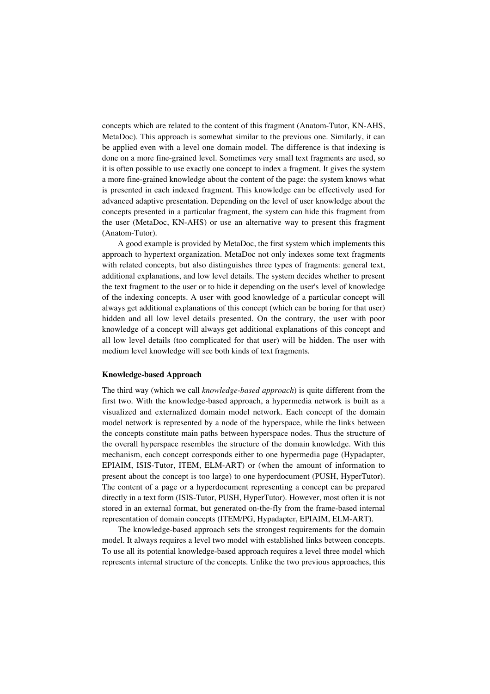concepts which are related to the content of this fragment (Anatom-Tutor, KN-AHS, MetaDoc). This approach is somewhat similar to the previous one. Similarly, it can be applied even with a level one domain model. The difference is that indexing is done on a more fine-grained level. Sometimes very small text fragments are used, so it is often possible to use exactly one concept to index a fragment. It gives the system a more fine-grained knowledge about the content of the page: the system knows what is presented in each indexed fragment. This knowledge can be effectively used for advanced adaptive presentation. Depending on the level of user knowledge about the concepts presented in a particular fragment, the system can hide this fragment from the user (MetaDoc, KN-AHS) or use an alternative way to present this fragment (Anatom-Tutor).

A good example is provided by MetaDoc, the first system which implements this approach to hypertext organization. MetaDoc not only indexes some text fragments with related concepts, but also distinguishes three types of fragments: general text, additional explanations, and low level details. The system decides whether to present the text fragment to the user or to hide it depending on the user's level of knowledge of the indexing concepts. A user with good knowledge of a particular concept will always get additional explanations of this concept (which can be boring for that user) hidden and all low level details presented. On the contrary, the user with poor knowledge of a concept will always get additional explanations of this concept and all low level details (too complicated for that user) will be hidden. The user with medium level knowledge will see both kinds of text fragments.

### **Knowledge-based Approach**

The third way (which we call *knowledge-based approach*) is quite different from the first two. With the knowledge-based approach, a hypermedia network is built as a visualized and externalized domain model network. Each concept of the domain model network is represented by a node of the hyperspace, while the links between the concepts constitute main paths between hyperspace nodes. Thus the structure of the overall hyperspace resembles the structure of the domain knowledge. With this mechanism, each concept corresponds either to one hypermedia page (Hypadapter, EPIAIM, ISIS-Tutor, ITEM, ELM-ART) or (when the amount of information to present about the concept is too large) to one hyperdocument (PUSH, HyperTutor). The content of a page or a hyperdocument representing a concept can be prepared directly in a text form (ISIS-Tutor, PUSH, HyperTutor). However, most often it is not stored in an external format, but generated on-the-fly from the frame-based internal representation of domain concepts (ITEM/PG, Hypadapter, EPIAIM, ELM-ART).

The knowledge-based approach sets the strongest requirements for the domain model. It always requires a level two model with established links between concepts. To use all its potential knowledge-based approach requires a level three model which represents internal structure of the concepts. Unlike the two previous approaches, this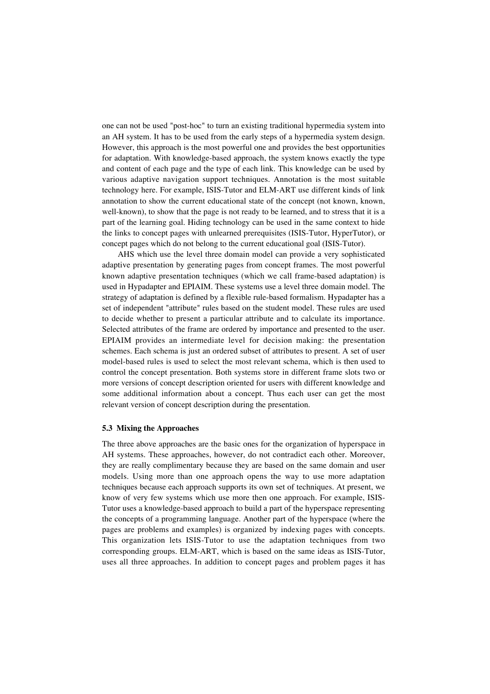one can not be used "post-hoc" to turn an existing traditional hypermedia system into an AH system. It has to be used from the early steps of a hypermedia system design. However, this approach is the most powerful one and provides the best opportunities for adaptation. With knowledge-based approach, the system knows exactly the type and content of each page and the type of each link. This knowledge can be used by various adaptive navigation support techniques. Annotation is the most suitable technology here. For example, ISIS-Tutor and ELM-ART use different kinds of link annotation to show the current educational state of the concept (not known, known, well-known), to show that the page is not ready to be learned, and to stress that it is a part of the learning goal. Hiding technology can be used in the same context to hide the links to concept pages with unlearned prerequisites (ISIS-Tutor, HyperTutor), or concept pages which do not belong to the current educational goal (ISIS-Tutor).

AHS which use the level three domain model can provide a very sophisticated adaptive presentation by generating pages from concept frames. The most powerful known adaptive presentation techniques (which we call frame-based adaptation) is used in Hypadapter and EPIAIM. These systems use a level three domain model. The strategy of adaptation is defined by a flexible rule-based formalism. Hypadapter has a set of independent "attribute" rules based on the student model. These rules are used to decide whether to present a particular attribute and to calculate its importance. Selected attributes of the frame are ordered by importance and presented to the user. EPIAIM provides an intermediate level for decision making: the presentation schemes. Each schema is just an ordered subset of attributes to present. A set of user model-based rules is used to select the most relevant schema, which is then used to control the concept presentation. Both systems store in different frame slots two or more versions of concept description oriented for users with different knowledge and some additional information about a concept. Thus each user can get the most relevant version of concept description during the presentation.

#### **5.3 Mixing the Approaches**

The three above approaches are the basic ones for the organization of hyperspace in AH systems. These approaches, however, do not contradict each other. Moreover, they are really complimentary because they are based on the same domain and user models. Using more than one approach opens the way to use more adaptation techniques because each approach supports its own set of techniques. At present, we know of very few systems which use more then one approach. For example, ISIS-Tutor uses a knowledge-based approach to build a part of the hyperspace representing the concepts of a programming language. Another part of the hyperspace (where the pages are problems and examples) is organized by indexing pages with concepts. This organization lets ISIS-Tutor to use the adaptation techniques from two corresponding groups. ELM-ART, which is based on the same ideas as ISIS-Tutor, uses all three approaches. In addition to concept pages and problem pages it has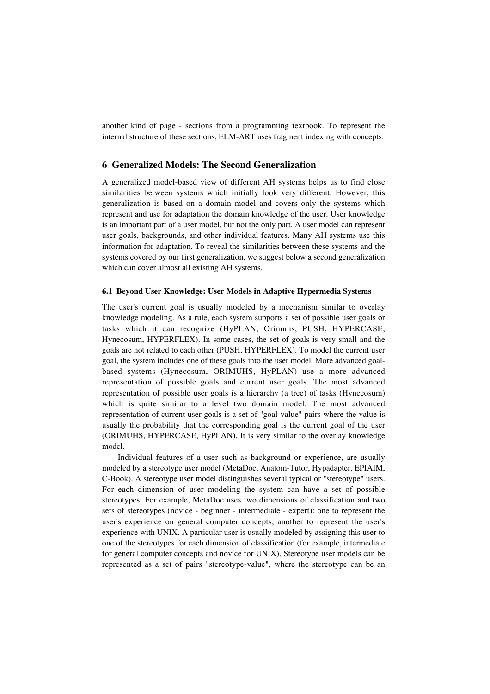another kind of page - sections from a programming textbook. To represent the internal structure of these sections, ELM-ART uses fragment indexing with concepts.

### **6 Generalized Models: The Second Generalization**

A generalized model-based view of different AH systems helps us to find close similarities between systems which initially look very different. However, this generalization is based on a domain model and covers only the systems which represent and use for adaptation the domain knowledge of the user. User knowledge is an important part of a user model, but not the only part. A user model can represent user goals, backgrounds, and other individual features. Many AH systems use this information for adaptation. To reveal the similarities between these systems and the systems covered by our first generalization, we suggest below a second generalization which can cover almost all existing AH systems.

#### **6.1 Beyond User Knowledge: User Models in Adaptive Hypermedia Systems**

The user's current goal is usually modeled by a mechanism similar to overlay knowledge modeling. As a rule, each system supports a set of possible user goals or tasks which it can recognize (HyPLAN, Orimuhs, PUSH, HYPERCASE, Hynecosum, HYPERFLEX). In some cases, the set of goals is very small and the goals are not related to each other (PUSH, HYPERFLEX). To model the current user goal, the system includes one of these goals into the user model. More advanced goalbased systems (Hynecosum, ORIMUHS, HyPLAN) use a more advanced representation of possible goals and current user goals. The most advanced representation of possible user goals is a hierarchy (a tree) of tasks (Hynecosum) which is quite similar to a level two domain model. The most advanced representation of current user goals is a set of "goal-value" pairs where the value is usually the probability that the corresponding goal is the current goal of the user (ORIMUHS, HYPERCASE, HyPLAN). It is very similar to the overlay knowledge model.

Individual features of a user such as background or experience, are usually modeled by a stereotype user model (MetaDoc, Anatom-Tutor, Hypadapter, EPIAIM, C-Book). A stereotype user model distinguishes several typical or "stereotype" users. For each dimension of user modeling the system can have a set of possible stereotypes. For example, MetaDoc uses two dimensions of classification and two sets of stereotypes (novice - beginner - intermediate - expert): one to represent the user's experience on general computer concepts, another to represent the user's experience with UNIX. A particular user is usually modeled by assigning this user to one of the stereotypes for each dimension of classification (for example, intermediate for general computer concepts and novice for UNIX). Stereotype user models can be represented as a set of pairs "stereotype-value", where the stereotype can be an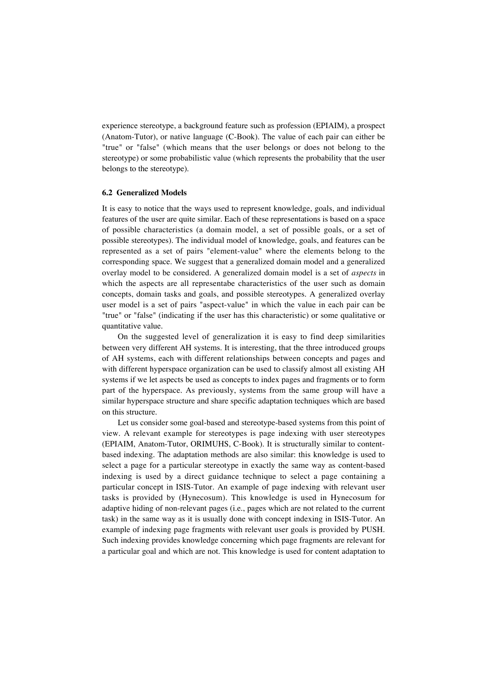experience stereotype, a background feature such as profession (EPIAIM), a prospect (Anatom-Tutor), or native language (C-Book). The value of each pair can either be "true" or "false" (which means that the user belongs or does not belong to the stereotype) or some probabilistic value (which represents the probability that the user belongs to the stereotype).

#### **6.2 Generalized Models**

It is easy to notice that the ways used to represent knowledge, goals, and individual features of the user are quite similar. Each of these representations is based on a space of possible characteristics (a domain model, a set of possible goals, or a set of possible stereotypes). The individual model of knowledge, goals, and features can be represented as a set of pairs "element-value" where the elements belong to the corresponding space. We suggest that a generalized domain model and a generalized overlay model to be considered. A generalized domain model is a set of *aspects* in which the aspects are all representabe characteristics of the user such as domain concepts, domain tasks and goals, and possible stereotypes. A generalized overlay user model is a set of pairs "aspect-value" in which the value in each pair can be "true" or "false" (indicating if the user has this characteristic) or some qualitative or quantitative value.

On the suggested level of generalization it is easy to find deep similarities between very different AH systems. It is interesting, that the three introduced groups of AH systems, each with different relationships between concepts and pages and with different hyperspace organization can be used to classify almost all existing AH systems if we let aspects be used as concepts to index pages and fragments or to form part of the hyperspace. As previously, systems from the same group will have a similar hyperspace structure and share specific adaptation techniques which are based on this structure.

Let us consider some goal-based and stereotype-based systems from this point of view. A relevant example for stereotypes is page indexing with user stereotypes (EPIAIM, Anatom-Tutor, ORIMUHS, C-Book). It is structurally similar to contentbased indexing. The adaptation methods are also similar: this knowledge is used to select a page for a particular stereotype in exactly the same way as content-based indexing is used by a direct guidance technique to select a page containing a particular concept in ISIS-Tutor. An example of page indexing with relevant user tasks is provided by (Hynecosum). This knowledge is used in Hynecosum for adaptive hiding of non-relevant pages (i.e., pages which are not related to the current task) in the same way as it is usually done with concept indexing in ISIS-Tutor. An example of indexing page fragments with relevant user goals is provided by PUSH. Such indexing provides knowledge concerning which page fragments are relevant for a particular goal and which are not. This knowledge is used for content adaptation to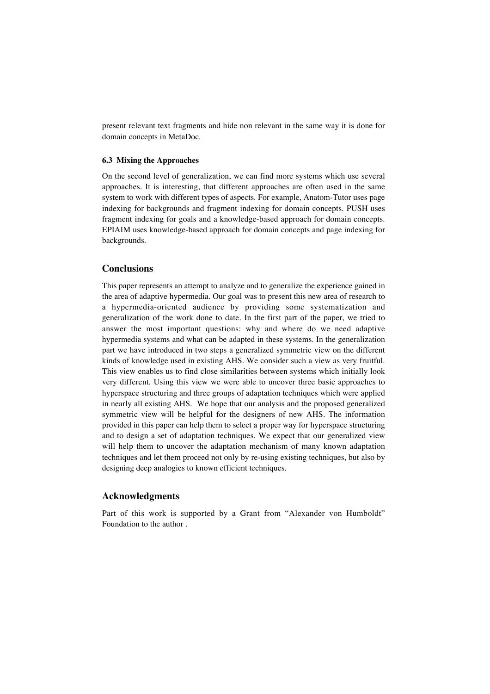present relevant text fragments and hide non relevant in the same way it is done for domain concepts in MetaDoc.

### **6.3 Mixing the Approaches**

On the second level of generalization, we can find more systems which use several approaches. It is interesting, that different approaches are often used in the same system to work with different types of aspects. For example, Anatom-Tutor uses page indexing for backgrounds and fragment indexing for domain concepts. PUSH uses fragment indexing for goals and a knowledge-based approach for domain concepts. EPIAIM uses knowledge-based approach for domain concepts and page indexing for backgrounds.

## **Conclusions**

This paper represents an attempt to analyze and to generalize the experience gained in the area of adaptive hypermedia. Our goal was to present this new area of research to a hypermedia-oriented audience by providing some systematization and generalization of the work done to date. In the first part of the paper, we tried to answer the most important questions: why and where do we need adaptive hypermedia systems and what can be adapted in these systems. In the generalization part we have introduced in two steps a generalized symmetric view on the different kinds of knowledge used in existing AHS. We consider such a view as very fruitful. This view enables us to find close similarities between systems which initially look very different. Using this view we were able to uncover three basic approaches to hyperspace structuring and three groups of adaptation techniques which were applied in nearly all existing AHS. We hope that our analysis and the proposed generalized symmetric view will be helpful for the designers of new AHS. The information provided in this paper can help them to select a proper way for hyperspace structuring and to design a set of adaptation techniques. We expect that our generalized view will help them to uncover the adaptation mechanism of many known adaptation techniques and let them proceed not only by re-using existing techniques, but also by designing deep analogies to known efficient techniques.

### **Acknowledgments**

Part of this work is supported by a Grant from "Alexander von Humboldt" Foundation to the author .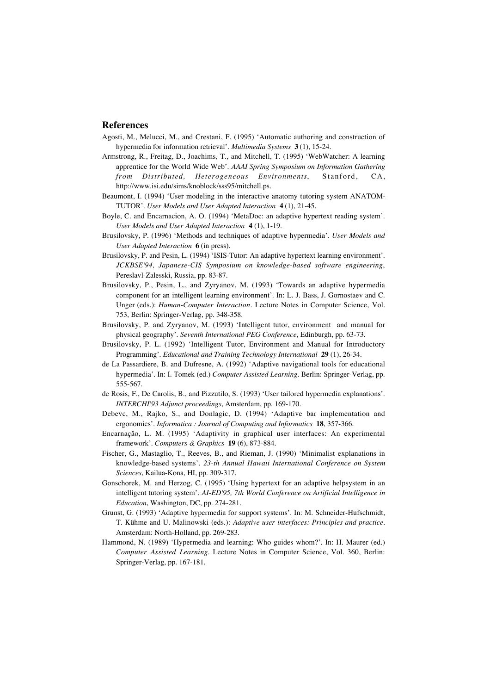### **References**

- Agosti, M., Melucci, M., and Crestani, F. (1995) ëAutomatic authoring and construction of hypermedia for information retrieval'. *Multimedia Systems* 3(1), 15-24.
- Armstrong, R., Freitag, D., Joachims, T., and Mitchell, T. (1995) 'WebWatcher: A learning apprentice for the World Wide Web<sup>'</sup>. AAAI Spring Symposium on Information Gathering *from Distributed, Heterogeneous Environments*, Stanford, CA, http://www.isi.edu/sims/knoblock/sss95/mitchell.ps.
- Beaumont, I. (1994) 'User modeling in the interactive anatomy tutoring system ANATOM-TUTORí. *User Models and User Adapted Interaction* **4** (1), 21-45.
- Boyle, C. and Encarnacion, A. O. (1994) 'MetaDoc: an adaptive hypertext reading system'. *User Models and User Adapted Interaction* **4** (1), 1-19.
- Brusilovsky, P. (1996) ëMethods and techniques of adaptive hypermediaí. *User Models and User Adapted Interaction* **6** (in press).
- Brusilovsky, P. and Pesin, L. (1994) 'ISIS-Tutor: An adaptive hypertext learning environment'. *JCKBSE'94, Japanese-CIS Symposium on knowledge-based software engineering*, Pereslavl-Zalesski, Russia, pp. 83-87.
- Brusilovsky, P., Pesin, L., and Zyryanov, M. (1993) 'Towards an adaptive hypermedia component for an intelligent learning environment'. In: L. J. Bass, J. Gornostaev and C. Unger (eds.): *Human-Computer Interaction*. Lecture Notes in Computer Science, Vol. 753, Berlin: Springer-Verlag, pp. 348-358.
- Brusilovsky, P. and Zyryanov, M. (1993) 'Intelligent tutor, environment and manual for physical geography'. Seventh International PEG Conference, Edinburgh, pp. 63-73.
- Brusilovsky, P. L. (1992) 'Intelligent Tutor, Environment and Manual for Introductory Programming'. *Educational and Training Technology International* 29 (1), 26-34.
- de La Passardiere, B. and Dufresne, A. (1992) 'Adaptive navigational tools for educational hypermediaí. In: I. Tomek (ed.) *Computer Assisted Learning*. Berlin: Springer-Verlag, pp. 555-567.
- de Rosis, F., De Carolis, B., and Pizzutilo, S. (1993) 'User tailored hypermedia explanations'. *INTERCHI'93 Adjunct proceedings*, Amsterdam, pp. 169-170.
- Debevc, M., Rajko, S., and Donlagic, D. (1994) 'Adaptive bar implementation and ergonomics'. Informatica : Journal of Computing and Informatics 18, 357-366.
- Encarnação, L. M. (1995) 'Adaptivity in graphical user interfaces: An experimental frameworkí. *Computers & Graphics* **19** (6), 873-884.
- Fischer, G., Mastaglio, T., Reeves, B., and Rieman, J. (1990) 'Minimalist explanations in knowledge-based systems'. 23-th Annual Hawaii International Conference on System *Sciences*, Kailua-Kona, HI, pp. 309-317.
- Gonschorek, M. and Herzog, C. (1995) 'Using hypertext for an adaptive helpsystem in an intelligent tutoring system'. *AI-ED'95, 7th World Conference on Artificial Intelligence in Education*, Washington, DC, pp. 274-281.
- Grunst, G. (1993) 'Adaptive hypermedia for support systems'. In: M. Schneider-Hufschmidt, T. Kühme and U. Malinowski (eds.): *Adaptive user interfaces: Principles and practice*. Amsterdam: North-Holland, pp. 269-283.
- Hammond, N. (1989) 'Hypermedia and learning: Who guides whom?'. In: H. Maurer (ed.) *Computer Assisted Learning*. Lecture Notes in Computer Science, Vol. 360, Berlin: Springer-Verlag, pp. 167-181.